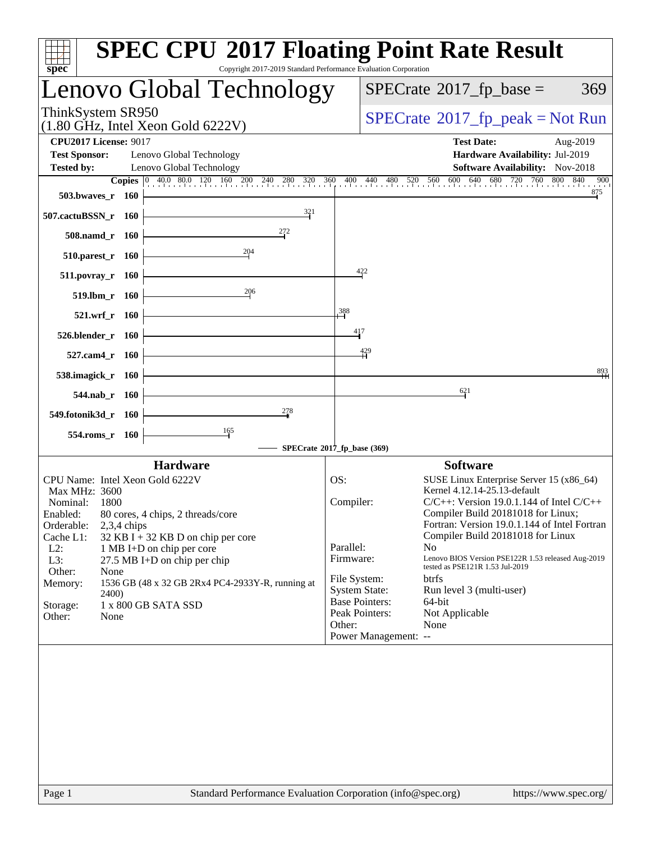| Copyright 2017-2019 Standard Performance Evaluation Corporation<br>$spec^*$                                                                                                                                      | <b>SPEC CPU®2017 Floating Point Rate Result</b>                                                                                                                                                                                     |
|------------------------------------------------------------------------------------------------------------------------------------------------------------------------------------------------------------------|-------------------------------------------------------------------------------------------------------------------------------------------------------------------------------------------------------------------------------------|
| Lenovo Global Technology                                                                                                                                                                                         | $SPECrate^{\circ}2017$ _fp_base =<br>369                                                                                                                                                                                            |
| ThinkSystem SR950<br>$(1.80 \text{ GHz}, \text{Intel Xeon Gold } 6222 \text{V})$                                                                                                                                 | $SPECTate^{\circ}2017$ fp peak = Not Run                                                                                                                                                                                            |
| <b>CPU2017 License: 9017</b><br><b>Test Sponsor:</b><br>Lenovo Global Technology                                                                                                                                 | <b>Test Date:</b><br>Aug-2019<br>Hardware Availability: Jul-2019                                                                                                                                                                    |
| <b>Tested by:</b><br>Lenovo Global Technology<br><b>Copies</b> $\begin{bmatrix} 0 & 40.0 & 80.0 & 120 & 160 & 200 & 240 & 280 & 320 \end{bmatrix}$ 360                                                           | <b>Software Availability:</b> Nov-2018<br>$0$ 400 440 480 520 560 600 640 680 720 760<br>800 840<br>900                                                                                                                             |
| 503.bwaves_r 160<br>$\frac{321}{2}$<br>507.cactuBSSN_r 160                                                                                                                                                       | 875                                                                                                                                                                                                                                 |
| 272<br>508.namd r 160                                                                                                                                                                                            |                                                                                                                                                                                                                                     |
| $\frac{204}{5}$<br>510.parest_r 160                                                                                                                                                                              |                                                                                                                                                                                                                                     |
| 511.povray_r 160                                                                                                                                                                                                 | 422                                                                                                                                                                                                                                 |
| 206<br>519.lbm_r 160                                                                                                                                                                                             |                                                                                                                                                                                                                                     |
| 521.wrf_r 160                                                                                                                                                                                                    | 388<br>417                                                                                                                                                                                                                          |
| 526.blender_r 160<br>527.cam4_r 160                                                                                                                                                                              | 429                                                                                                                                                                                                                                 |
| 538.imagick_r 160                                                                                                                                                                                                | $\frac{893}{4}$                                                                                                                                                                                                                     |
| 544.nab r 160                                                                                                                                                                                                    | 621                                                                                                                                                                                                                                 |
| 278<br>549.fotonik3d_r 160                                                                                                                                                                                       |                                                                                                                                                                                                                                     |
| 165<br>554.roms_r 160                                                                                                                                                                                            | SPECrate®2017_fp_base (369)                                                                                                                                                                                                         |
| <b>Hardware</b>                                                                                                                                                                                                  | <b>Software</b>                                                                                                                                                                                                                     |
| CPU Name: Intel Xeon Gold 6222V<br>Max MHz: 3600<br>Nominal:<br>1800<br>Enabled:<br>80 cores, 4 chips, 2 threads/core<br>Orderable:<br>$2,3,4$ chips                                                             | OS:<br>SUSE Linux Enterprise Server 15 (x86_64)<br>Kernel 4.12.14-25.13-default<br>Compiler:<br>$C/C++$ : Version 19.0.1.144 of Intel $C/C++$<br>Compiler Build 20181018 for Linux;<br>Fortran: Version 19.0.1.144 of Intel Fortran |
| Cache L1:<br>$32$ KB I + 32 KB D on chip per core<br>$L2$ :<br>1 MB I+D on chip per core<br>L3:<br>27.5 MB I+D on chip per chip<br>Other:<br>None<br>1536 GB (48 x 32 GB 2Rx4 PC4-2933Y-R, running at<br>Memory: | Compiler Build 20181018 for Linux<br>Parallel:<br>N <sub>0</sub><br>Firmware:<br>Lenovo BIOS Version PSE122R 1.53 released Aug-2019<br>tested as PSE121R 1.53 Jul-2019<br>File System:<br><b>btrfs</b>                              |
| 2400)<br>Storage:<br>1 x 800 GB SATA SSD<br>Other:<br>None                                                                                                                                                       | <b>System State:</b><br>Run level 3 (multi-user)<br><b>Base Pointers:</b><br>64-bit<br>Peak Pointers:<br>Not Applicable<br>Other:<br>None<br>Power Management: --                                                                   |
| Standard Performance Evaluation Corporation (info@spec.org)<br>Page 1                                                                                                                                            | https://www.spec.org/                                                                                                                                                                                                               |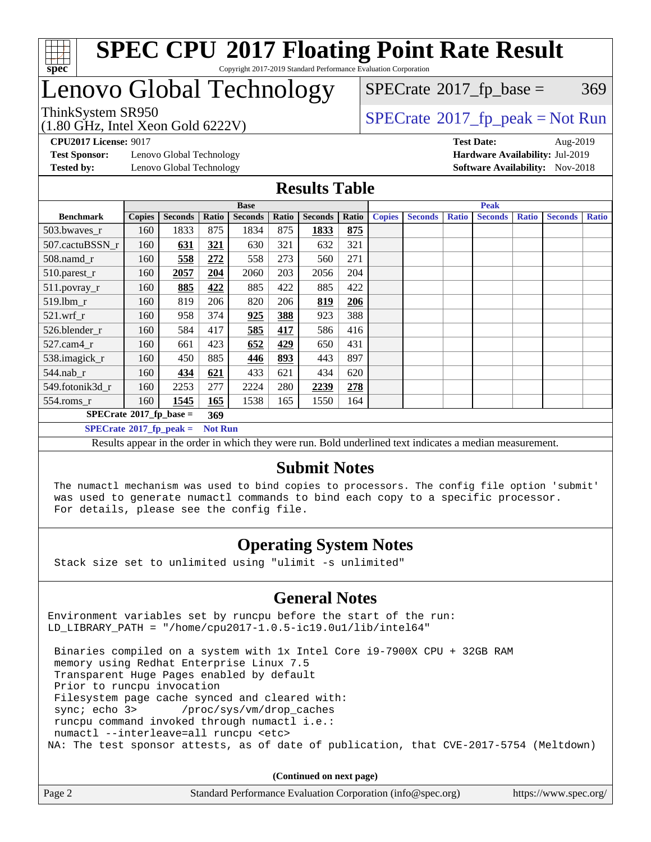

### **[SPEC CPU](http://www.spec.org/auto/cpu2017/Docs/result-fields.html#SPECCPU2017FloatingPointRateResult)[2017 Floating Point Rate Result](http://www.spec.org/auto/cpu2017/Docs/result-fields.html#SPECCPU2017FloatingPointRateResult)** Copyright 2017-2019 Standard Performance Evaluation Corporation

# Lenovo Global Technology

(1.80 GHz, Intel Xeon Gold 6222V)

 $SPECTate@2017_fp_peak = Not Run$  $SPECTate@2017_fp_peak = Not Run$  $SPECTate@2017_fp_peak = Not Run$  $SPECTate@2017_fp\_base = 369$ 

**[Test Sponsor:](http://www.spec.org/auto/cpu2017/Docs/result-fields.html#TestSponsor)** Lenovo Global Technology **[Hardware Availability:](http://www.spec.org/auto/cpu2017/Docs/result-fields.html#HardwareAvailability)** Jul-2019 **[Tested by:](http://www.spec.org/auto/cpu2017/Docs/result-fields.html#Testedby)** Lenovo Global Technology **[Software Availability:](http://www.spec.org/auto/cpu2017/Docs/result-fields.html#SoftwareAvailability)** Nov-2018

**[CPU2017 License:](http://www.spec.org/auto/cpu2017/Docs/result-fields.html#CPU2017License)** 9017 **[Test Date:](http://www.spec.org/auto/cpu2017/Docs/result-fields.html#TestDate)** Aug-2019

### **[Results Table](http://www.spec.org/auto/cpu2017/Docs/result-fields.html#ResultsTable)**

|                                    |               |                |                | <b>Base</b>    |       |                |       | <b>Peak</b>   |                |              |                |              |                |              |
|------------------------------------|---------------|----------------|----------------|----------------|-------|----------------|-------|---------------|----------------|--------------|----------------|--------------|----------------|--------------|
| <b>Benchmark</b>                   | <b>Copies</b> | <b>Seconds</b> | Ratio          | <b>Seconds</b> | Ratio | <b>Seconds</b> | Ratio | <b>Copies</b> | <b>Seconds</b> | <b>Ratio</b> | <b>Seconds</b> | <b>Ratio</b> | <b>Seconds</b> | <b>Ratio</b> |
| 503.bwayes r                       | 160           | 1833           | 875            | 1834           | 875   | 1833           | 875   |               |                |              |                |              |                |              |
| 507.cactuBSSN r                    | 160           | 631            | 321            | 630            | 321   | 632            | 321   |               |                |              |                |              |                |              |
| 508.namd_r                         | 160           | 558            | 272            | 558            | 273   | 560            | 271   |               |                |              |                |              |                |              |
| 510.parest_r                       | 160           | 2057           | 204            | 2060           | 203   | 2056           | 204   |               |                |              |                |              |                |              |
| 511.povray_r                       | 160           | 885            | 422            | 885            | 422   | 885            | 422   |               |                |              |                |              |                |              |
| 519.lbm r                          | 160           | 819            | 206            | 820            | 206   | 819            | 206   |               |                |              |                |              |                |              |
| $521$ .wrf r                       | 160           | 958            | 374            | 925            | 388   | 923            | 388   |               |                |              |                |              |                |              |
| 526.blender r                      | 160           | 584            | 417            | 585            | 417   | 586            | 416   |               |                |              |                |              |                |              |
| $527$ .cam $4r$                    | 160           | 661            | 423            | 652            | 429   | 650            | 431   |               |                |              |                |              |                |              |
| 538.imagick_r                      | 160           | 450            | 885            | 446            | 893   | 443            | 897   |               |                |              |                |              |                |              |
| $544$ .nab r                       | 160           | 434            | 621            | 433            | 621   | 434            | 620   |               |                |              |                |              |                |              |
| 549.fotonik3d r                    | 160           | 2253           | 277            | 2224           | 280   | 2239           | 278   |               |                |              |                |              |                |              |
| $554$ .roms $_r$                   | 160           | 1545           | 165            | 1538           | 165   | 1550           | 164   |               |                |              |                |              |                |              |
| $SPECrate^{\otimes}2017$ fp base = |               |                | 369            |                |       |                |       |               |                |              |                |              |                |              |
| $SPECrate^{\circ}2017$ fp peak =   |               |                | <b>Not Run</b> |                |       |                |       |               |                |              |                |              |                |              |

Results appear in the [order in which they were run](http://www.spec.org/auto/cpu2017/Docs/result-fields.html#RunOrder). Bold underlined text [indicates a median measurement](http://www.spec.org/auto/cpu2017/Docs/result-fields.html#Median).

### **[Submit Notes](http://www.spec.org/auto/cpu2017/Docs/result-fields.html#SubmitNotes)**

 The numactl mechanism was used to bind copies to processors. The config file option 'submit' was used to generate numactl commands to bind each copy to a specific processor. For details, please see the config file.

### **[Operating System Notes](http://www.spec.org/auto/cpu2017/Docs/result-fields.html#OperatingSystemNotes)**

Stack size set to unlimited using "ulimit -s unlimited"

#### **[General Notes](http://www.spec.org/auto/cpu2017/Docs/result-fields.html#GeneralNotes)**

Environment variables set by runcpu before the start of the run: LD LIBRARY PATH = "/home/cpu2017-1.0.5-ic19.0u1/lib/intel64"

 Binaries compiled on a system with 1x Intel Core i9-7900X CPU + 32GB RAM memory using Redhat Enterprise Linux 7.5 Transparent Huge Pages enabled by default Prior to runcpu invocation Filesystem page cache synced and cleared with: sync; echo 3> /proc/sys/vm/drop\_caches runcpu command invoked through numactl i.e.: numactl --interleave=all runcpu <etc> NA: The test sponsor attests, as of date of publication, that CVE-2017-5754 (Meltdown)

**(Continued on next page)**

| Page 2<br>Standard Performance Evaluation Corporation (info@spec.org) | https://www.spec.org/ |
|-----------------------------------------------------------------------|-----------------------|
|-----------------------------------------------------------------------|-----------------------|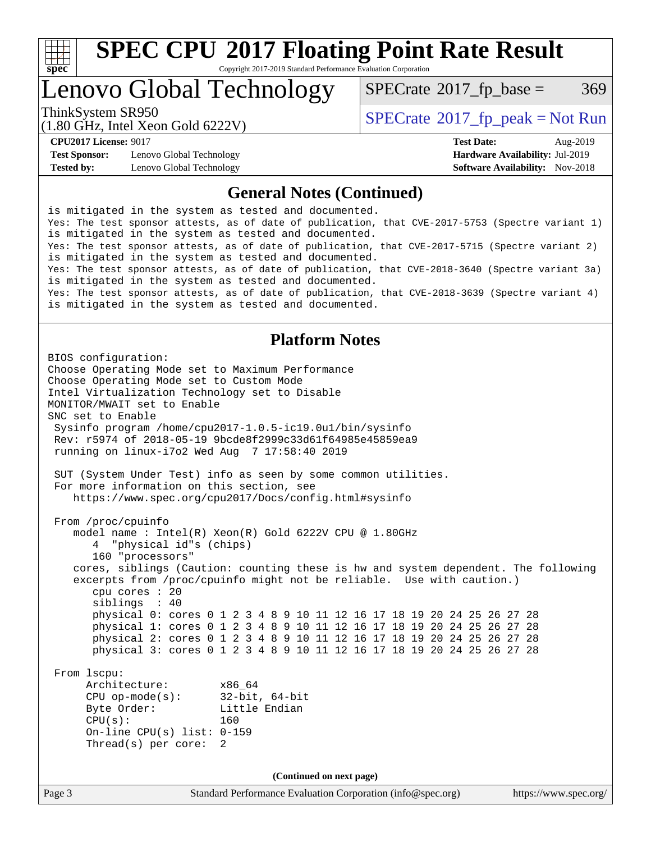

Copyright 2017-2019 Standard Performance Evaluation Corporation

# Lenovo Global Technology

 $SPECTate@2017_fp\_base = 369$ 

(1.80 GHz, Intel Xeon Gold 6222V)

ThinkSystem SR950<br>  $\begin{array}{c}\n\text{SPECrate} \textcirc 2017 \text{ fp } peak = Not Run\n\end{array}$  $\begin{array}{c}\n\text{SPECrate} \textcirc 2017 \text{ fp } peak = Not Run\n\end{array}$  $\begin{array}{c}\n\text{SPECrate} \textcirc 2017 \text{ fp } peak = Not Run\n\end{array}$ 

**[Test Sponsor:](http://www.spec.org/auto/cpu2017/Docs/result-fields.html#TestSponsor)** Lenovo Global Technology **[Hardware Availability:](http://www.spec.org/auto/cpu2017/Docs/result-fields.html#HardwareAvailability)** Jul-2019 **[Tested by:](http://www.spec.org/auto/cpu2017/Docs/result-fields.html#Testedby)** Lenovo Global Technology **[Software Availability:](http://www.spec.org/auto/cpu2017/Docs/result-fields.html#SoftwareAvailability)** Nov-2018

**[CPU2017 License:](http://www.spec.org/auto/cpu2017/Docs/result-fields.html#CPU2017License)** 9017 **[Test Date:](http://www.spec.org/auto/cpu2017/Docs/result-fields.html#TestDate)** Aug-2019

### **[General Notes \(Continued\)](http://www.spec.org/auto/cpu2017/Docs/result-fields.html#GeneralNotes)**

is mitigated in the system as tested and documented. Yes: The test sponsor attests, as of date of publication, that CVE-2017-5753 (Spectre variant 1) is mitigated in the system as tested and documented. Yes: The test sponsor attests, as of date of publication, that CVE-2017-5715 (Spectre variant 2) is mitigated in the system as tested and documented. Yes: The test sponsor attests, as of date of publication, that CVE-2018-3640 (Spectre variant 3a) is mitigated in the system as tested and documented. Yes: The test sponsor attests, as of date of publication, that CVE-2018-3639 (Spectre variant 4) is mitigated in the system as tested and documented.

### **[Platform Notes](http://www.spec.org/auto/cpu2017/Docs/result-fields.html#PlatformNotes)**

Page 3 Standard Performance Evaluation Corporation [\(info@spec.org\)](mailto:info@spec.org) <https://www.spec.org/> BIOS configuration: Choose Operating Mode set to Maximum Performance Choose Operating Mode set to Custom Mode Intel Virtualization Technology set to Disable MONITOR/MWAIT set to Enable SNC set to Enable Sysinfo program /home/cpu2017-1.0.5-ic19.0u1/bin/sysinfo Rev: r5974 of 2018-05-19 9bcde8f2999c33d61f64985e45859ea9 running on linux-i7o2 Wed Aug 7 17:58:40 2019 SUT (System Under Test) info as seen by some common utilities. For more information on this section, see <https://www.spec.org/cpu2017/Docs/config.html#sysinfo> From /proc/cpuinfo model name : Intel(R) Xeon(R) Gold 6222V CPU @ 1.80GHz 4 "physical id"s (chips) 160 "processors" cores, siblings (Caution: counting these is hw and system dependent. The following excerpts from /proc/cpuinfo might not be reliable. Use with caution.) cpu cores : 20 siblings : 40 physical 0: cores 0 1 2 3 4 8 9 10 11 12 16 17 18 19 20 24 25 26 27 28 physical 1: cores 0 1 2 3 4 8 9 10 11 12 16 17 18 19 20 24 25 26 27 28 physical 2: cores 0 1 2 3 4 8 9 10 11 12 16 17 18 19 20 24 25 26 27 28 physical 3: cores 0 1 2 3 4 8 9 10 11 12 16 17 18 19 20 24 25 26 27 28 From lscpu: Architecture: x86\_64 CPU op-mode(s): 32-bit, 64-bit Byte Order: Little Endian CPU(s): 160 On-line CPU(s) list: 0-159 Thread(s) per core: 2 **(Continued on next page)**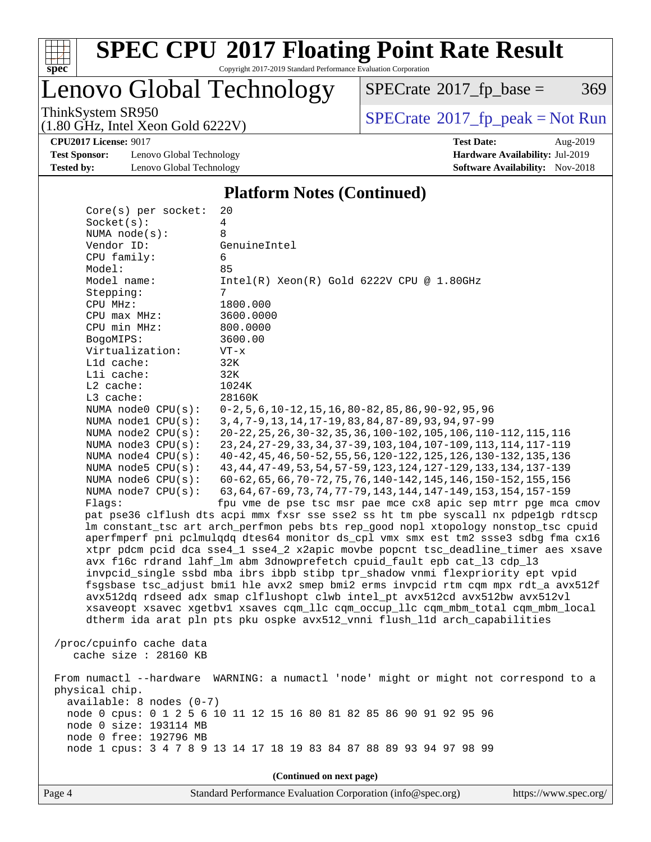

Copyright 2017-2019 Standard Performance Evaluation Corporation

Lenovo Global Technology

 $SPECTate@2017_fp\_base = 369$ 

(1.80 GHz, Intel Xeon Gold 6222V)

ThinkSystem SR950<br>(1.80 GHz, Intel Xeon Gold 6222V) [SPECrate](http://www.spec.org/auto/cpu2017/Docs/result-fields.html#SPECrate2017fppeak)®[2017\\_fp\\_peak = N](http://www.spec.org/auto/cpu2017/Docs/result-fields.html#SPECrate2017fppeak)ot Run

**[Test Sponsor:](http://www.spec.org/auto/cpu2017/Docs/result-fields.html#TestSponsor)** Lenovo Global Technology **[Hardware Availability:](http://www.spec.org/auto/cpu2017/Docs/result-fields.html#HardwareAvailability)** Jul-2019 **[Tested by:](http://www.spec.org/auto/cpu2017/Docs/result-fields.html#Testedby)** Lenovo Global Technology **[Software Availability:](http://www.spec.org/auto/cpu2017/Docs/result-fields.html#SoftwareAvailability)** Nov-2018

**[CPU2017 License:](http://www.spec.org/auto/cpu2017/Docs/result-fields.html#CPU2017License)** 9017 **[Test Date:](http://www.spec.org/auto/cpu2017/Docs/result-fields.html#TestDate)** Aug-2019

### **[Platform Notes \(Continued\)](http://www.spec.org/auto/cpu2017/Docs/result-fields.html#PlatformNotes)**

| $Core(s)$ per socket:      | 20                                                                                  |
|----------------------------|-------------------------------------------------------------------------------------|
| Socket(s):                 | 4                                                                                   |
| NUMA $node(s):$            | 8                                                                                   |
| Vendor ID:                 | GenuineIntel                                                                        |
| CPU family:                | 6                                                                                   |
| Model:                     | 85                                                                                  |
| Model name:                | $Intel(R) Xeon(R) Gold 6222V CPU @ 1.80GHz$                                         |
| Stepping:                  | 7                                                                                   |
| CPU MHz:                   | 1800.000                                                                            |
| CPU max MHz:               | 3600.0000                                                                           |
| CPU min MHz:               | 800.0000                                                                            |
| BogoMIPS:                  | 3600.00                                                                             |
| Virtualization:            | $VT - x$                                                                            |
| L1d cache:                 | 32K                                                                                 |
| Lli cache:                 | 32K                                                                                 |
| L2 cache:                  | 1024K                                                                               |
| L3 cache:                  | 28160K                                                                              |
| NUMA node0 CPU(s):         | $0-2, 5, 6, 10-12, 15, 16, 80-82, 85, 86, 90-92, 95, 96$                            |
| NUMA nodel CPU(s):         | 3, 4, 7-9, 13, 14, 17-19, 83, 84, 87-89, 93, 94, 97-99                              |
| NUMA node2 CPU(s):         | 20-22, 25, 26, 30-32, 35, 36, 100-102, 105, 106, 110-112, 115, 116                  |
| NUMA $node3$ $CPU(s)$ :    | 23, 24, 27-29, 33, 34, 37-39, 103, 104, 107-109, 113, 114, 117-119                  |
| NUMA $node4$ $CPU(s):$     | 40-42, 45, 46, 50-52, 55, 56, 120-122, 125, 126, 130-132, 135, 136                  |
| NUMA node5 CPU(s):         | 43, 44, 47-49, 53, 54, 57-59, 123, 124, 127-129, 133, 134, 137-139                  |
| NUMA node6 CPU(s):         | 60-62, 65, 66, 70-72, 75, 76, 140-142, 145, 146, 150-152, 155, 156                  |
| NUMA $node7$ CPU $(s)$ :   | 63, 64, 67-69, 73, 74, 77-79, 143, 144, 147-149, 153, 154, 157-159                  |
| Flags:                     | fpu vme de pse tsc msr pae mce cx8 apic sep mtrr pge mca cmov                       |
|                            | pat pse36 clflush dts acpi mmx fxsr sse sse2 ss ht tm pbe syscall nx pdpelgb rdtscp |
|                            | lm constant_tsc art arch_perfmon pebs bts rep_good nopl xtopology nonstop_tsc cpuid |
|                            | aperfmperf pni pclmulqdq dtes64 monitor ds_cpl vmx smx est tm2 ssse3 sdbg fma cx16  |
|                            | xtpr pdcm pcid dca sse4_1 sse4_2 x2apic movbe popcnt tsc_deadline_timer aes xsave   |
|                            | avx f16c rdrand lahf_lm abm 3dnowprefetch cpuid_fault epb cat_13 cdp_13             |
|                            | invpcid_single ssbd mba ibrs ibpb stibp tpr_shadow vnmi flexpriority ept vpid       |
|                            | fsgsbase tsc_adjust bmil hle avx2 smep bmi2 erms invpcid rtm cqm mpx rdt_a avx512f  |
|                            | avx512dq rdseed adx smap clflushopt clwb intel_pt avx512cd avx512bw avx512vl        |
|                            | xsaveopt xsavec xgetbvl xsaves cqm_llc cqm_occup_llc cqm_mbm_total cqm_mbm_local    |
|                            | dtherm ida arat pln pts pku ospke avx512_vnni flush_lld arch_capabilities           |
| /proc/cpuinfo cache data   |                                                                                     |
| cache size : 28160 KB      |                                                                                     |
|                            |                                                                                     |
| From numactl --hardware    | WARNING: a numactl 'node' might or might not correspond to a                        |
| physical chip.             |                                                                                     |
| $available: 8 nodes (0-7)$ |                                                                                     |
|                            | node 0 cpus: 0 1 2 5 6 10 11 12 15 16 80 81 82 85 86 90 91 92 95 96                 |
| node 0 size: 193114 MB     |                                                                                     |
| node 0 free: 192796 MB     |                                                                                     |
|                            | node 1 cpus: 3 4 7 8 9 13 14 17 18 19 83 84 87 88 89 93 94 97 98 99                 |
|                            |                                                                                     |
|                            | (Continued on next page)                                                            |
|                            |                                                                                     |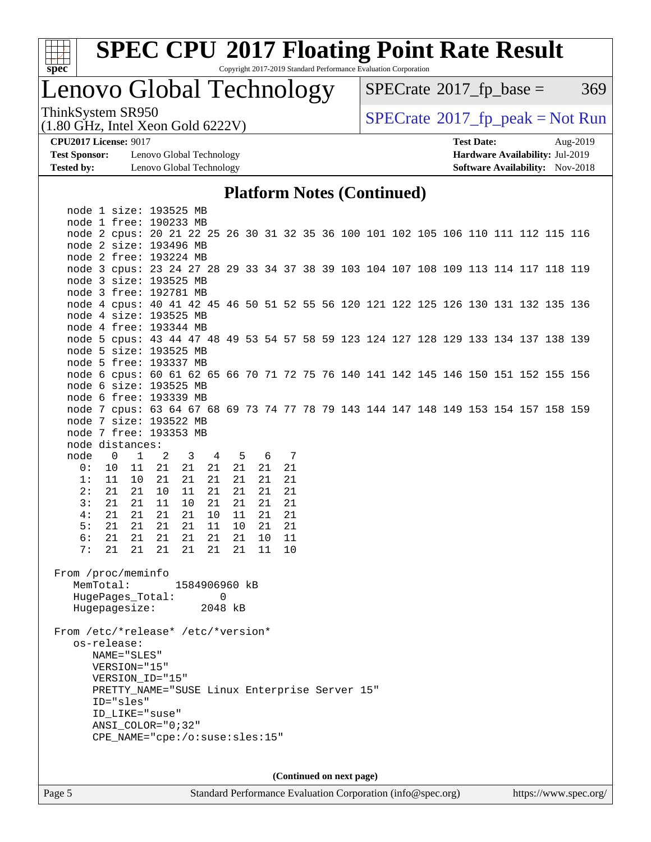

Copyright 2017-2019 Standard Performance Evaluation Corporation

Lenovo Global Technology

 $SPECTate@2017_fp\_base = 369$ 

(1.80 GHz, Intel Xeon Gold 6222V)

ThinkSystem SR950<br>(1.80 GHz, Intel Xeon Gold 6222V) [SPECrate](http://www.spec.org/auto/cpu2017/Docs/result-fields.html#SPECrate2017fppeak)®[2017\\_fp\\_peak = N](http://www.spec.org/auto/cpu2017/Docs/result-fields.html#SPECrate2017fppeak)ot Run

**[Test Sponsor:](http://www.spec.org/auto/cpu2017/Docs/result-fields.html#TestSponsor)** Lenovo Global Technology **[Hardware Availability:](http://www.spec.org/auto/cpu2017/Docs/result-fields.html#HardwareAvailability)** Jul-2019 **[Tested by:](http://www.spec.org/auto/cpu2017/Docs/result-fields.html#Testedby)** Lenovo Global Technology **[Software Availability:](http://www.spec.org/auto/cpu2017/Docs/result-fields.html#SoftwareAvailability)** Nov-2018

**[CPU2017 License:](http://www.spec.org/auto/cpu2017/Docs/result-fields.html#CPU2017License)** 9017 **[Test Date:](http://www.spec.org/auto/cpu2017/Docs/result-fields.html#TestDate)** Aug-2019

### **[Platform Notes \(Continued\)](http://www.spec.org/auto/cpu2017/Docs/result-fields.html#PlatformNotes)**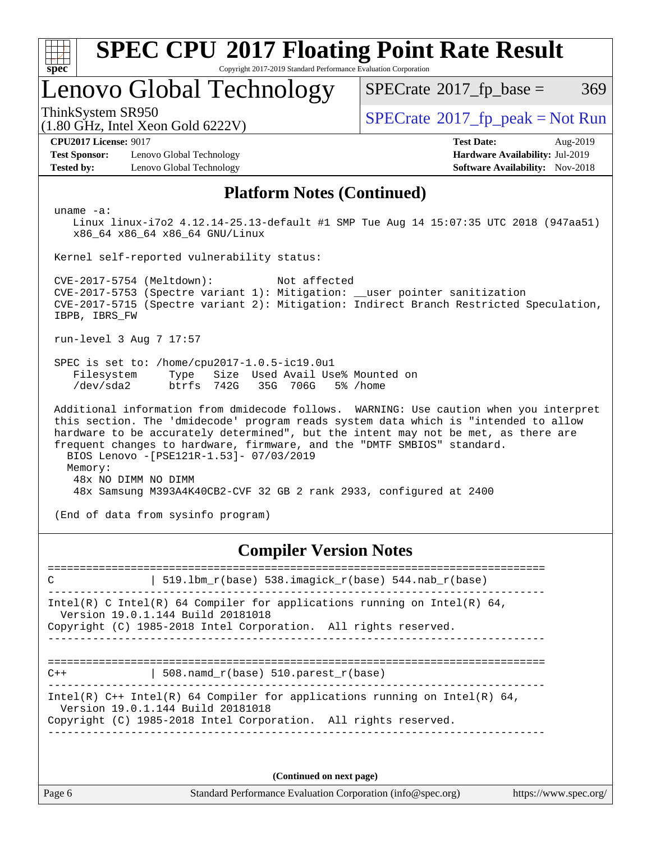| <b>SPEC CPU®2017 Floating Point Rate Result</b><br>Copyright 2017-2019 Standard Performance Evaluation Corporation<br>$spec^*$                                                                                                                                                                                                                                                                                              |                                                                                                     |  |  |  |  |  |
|-----------------------------------------------------------------------------------------------------------------------------------------------------------------------------------------------------------------------------------------------------------------------------------------------------------------------------------------------------------------------------------------------------------------------------|-----------------------------------------------------------------------------------------------------|--|--|--|--|--|
| Lenovo Global Technology                                                                                                                                                                                                                                                                                                                                                                                                    | $SPECrate^{\circledast}2017$ _fp_base =<br>369                                                      |  |  |  |  |  |
| ThinkSystem SR950<br>$(1.80 \text{ GHz}, \text{Intel Xeon Gold } 6222 \text{V})$                                                                                                                                                                                                                                                                                                                                            | $SPECrate^{\circ}2017$ _fp_peak = Not Run                                                           |  |  |  |  |  |
| <b>CPU2017 License: 9017</b><br><b>Test Sponsor:</b><br>Lenovo Global Technology<br><b>Tested by:</b><br>Lenovo Global Technology                                                                                                                                                                                                                                                                                           | <b>Test Date:</b><br>Aug-2019<br>Hardware Availability: Jul-2019<br>Software Availability: Nov-2018 |  |  |  |  |  |
| <b>Platform Notes (Continued)</b>                                                                                                                                                                                                                                                                                                                                                                                           |                                                                                                     |  |  |  |  |  |
| uname $-a$ :<br>Linux linux-i7o2 4.12.14-25.13-default #1 SMP Tue Aug 14 15:07:35 UTC 2018 (947aa51)<br>x86 64 x86 64 x86 64 GNU/Linux                                                                                                                                                                                                                                                                                      |                                                                                                     |  |  |  |  |  |
| Kernel self-reported vulnerability status:                                                                                                                                                                                                                                                                                                                                                                                  |                                                                                                     |  |  |  |  |  |
| CVE-2017-5754 (Meltdown):<br>Not affected<br>CVE-2017-5753 (Spectre variant 1): Mitigation: __user pointer sanitization<br>CVE-2017-5715 (Spectre variant 2): Mitigation: Indirect Branch Restricted Speculation,<br>IBPB, IBRS FW                                                                                                                                                                                          |                                                                                                     |  |  |  |  |  |
| run-level 3 Aug 7 17:57                                                                                                                                                                                                                                                                                                                                                                                                     |                                                                                                     |  |  |  |  |  |
| SPEC is set to: /home/cpu2017-1.0.5-ic19.0u1<br>Size Used Avail Use% Mounted on<br>Filesystem<br>Type<br>/dev/sda2<br>btrfs 742G<br>35G<br>706G                                                                                                                                                                                                                                                                             | 5% /home                                                                                            |  |  |  |  |  |
| Additional information from dmidecode follows. WARNING: Use caution when you interpret<br>this section. The 'dmidecode' program reads system data which is "intended to allow<br>hardware to be accurately determined", but the intent may not be met, as there are<br>frequent changes to hardware, firmware, and the "DMTF SMBIOS" standard.<br>BIOS Lenovo -[PSE121R-1.53]- 07/03/2019<br>Memory:<br>48x NO DIMM NO DIMM |                                                                                                     |  |  |  |  |  |
| 48x Samsung M393A4K40CB2-CVF 32 GB 2 rank 2933, configured at 2400                                                                                                                                                                                                                                                                                                                                                          |                                                                                                     |  |  |  |  |  |
| (End of data from sysinfo program)                                                                                                                                                                                                                                                                                                                                                                                          |                                                                                                     |  |  |  |  |  |
| <b>Compiler Version Notes</b>                                                                                                                                                                                                                                                                                                                                                                                               |                                                                                                     |  |  |  |  |  |

| $519.1$ bm_r(base) 538.imagick_r(base) 544.nab_r(base)<br>C                                                                                                                          |
|--------------------------------------------------------------------------------------------------------------------------------------------------------------------------------------|
| Intel(R) C Intel(R) 64 Compiler for applications running on Intel(R) 64,<br>Version 19.0.1.144 Build 20181018<br>Copyright (C) 1985-2018 Intel Corporation. All rights reserved.     |
| 508. namd $r(base)$ 510. parest $r(base)$<br>$C++$                                                                                                                                   |
| Intel(R) $C++$ Intel(R) 64 Compiler for applications running on Intel(R) 64,<br>Version 19.0.1.144 Build 20181018<br>Copyright (C) 1985-2018 Intel Corporation. All rights reserved. |
|                                                                                                                                                                                      |
| (Continued on next page)                                                                                                                                                             |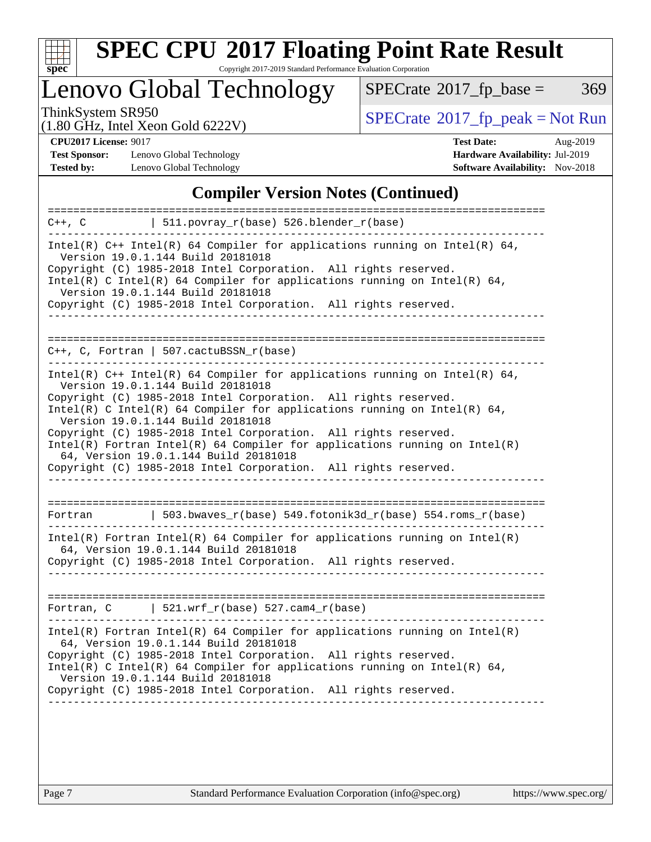

Copyright 2017-2019 Standard Performance Evaluation Corporation

Lenovo Global Technology

 $SPECTate@2017_fp\_base = 369$ 

(1.80 GHz, Intel Xeon Gold 6222V)

ThinkSystem SR950<br>(1.80 GHz, Intel Xeon Gold 6222V) [SPECrate](http://www.spec.org/auto/cpu2017/Docs/result-fields.html#SPECrate2017fppeak)®[2017\\_fp\\_peak = N](http://www.spec.org/auto/cpu2017/Docs/result-fields.html#SPECrate2017fppeak)ot Run

**[Test Sponsor:](http://www.spec.org/auto/cpu2017/Docs/result-fields.html#TestSponsor)** Lenovo Global Technology **[Hardware Availability:](http://www.spec.org/auto/cpu2017/Docs/result-fields.html#HardwareAvailability)** Jul-2019 **[Tested by:](http://www.spec.org/auto/cpu2017/Docs/result-fields.html#Testedby)** Lenovo Global Technology **[Software Availability:](http://www.spec.org/auto/cpu2017/Docs/result-fields.html#SoftwareAvailability)** Nov-2018

**[CPU2017 License:](http://www.spec.org/auto/cpu2017/Docs/result-fields.html#CPU2017License)** 9017 **[Test Date:](http://www.spec.org/auto/cpu2017/Docs/result-fields.html#TestDate)** Aug-2019

### **[Compiler Version Notes \(Continued\)](http://www.spec.org/auto/cpu2017/Docs/result-fields.html#CompilerVersionNotes)**

| ====================<br>  $511. povray_r(base) 526. blender_r(base)$<br>C++, C                                                                                                                                                                                                                                                                                                                                                                                                                                                                                       |
|----------------------------------------------------------------------------------------------------------------------------------------------------------------------------------------------------------------------------------------------------------------------------------------------------------------------------------------------------------------------------------------------------------------------------------------------------------------------------------------------------------------------------------------------------------------------|
|                                                                                                                                                                                                                                                                                                                                                                                                                                                                                                                                                                      |
| Intel(R) $C++$ Intel(R) 64 Compiler for applications running on Intel(R) 64,<br>Version 19.0.1.144 Build 20181018<br>Copyright (C) 1985-2018 Intel Corporation. All rights reserved.<br>Intel(R) C Intel(R) 64 Compiler for applications running on Intel(R) 64,<br>Version 19.0.1.144 Build 20181018<br>Copyright (C) 1985-2018 Intel Corporation. All rights reserved.                                                                                                                                                                                             |
|                                                                                                                                                                                                                                                                                                                                                                                                                                                                                                                                                                      |
| $C_{++}$ , C, Fortran   507.cactuBSSN $r(base)$                                                                                                                                                                                                                                                                                                                                                                                                                                                                                                                      |
| Intel(R) $C++$ Intel(R) 64 Compiler for applications running on Intel(R) 64,<br>Version 19.0.1.144 Build 20181018<br>Copyright (C) 1985-2018 Intel Corporation. All rights reserved.<br>Intel(R) C Intel(R) 64 Compiler for applications running on Intel(R) 64,<br>Version 19.0.1.144 Build 20181018<br>Copyright (C) 1985-2018 Intel Corporation. All rights reserved.<br>$Intel(R)$ Fortran Intel(R) 64 Compiler for applications running on Intel(R)<br>64, Version 19.0.1.144 Build 20181018<br>Copyright (C) 1985-2018 Intel Corporation. All rights reserved. |
| $\vert$ 503.bwaves_r(base) 549.fotonik3d_r(base) 554.roms_r(base)<br>Fortran                                                                                                                                                                                                                                                                                                                                                                                                                                                                                         |
| Intel(R) Fortran Intel(R) 64 Compiler for applications running on Intel(R)<br>64, Version 19.0.1.144 Build 20181018<br>Copyright (C) 1985-2018 Intel Corporation. All rights reserved.                                                                                                                                                                                                                                                                                                                                                                               |
| $\vert$ 521.wrf_r(base) 527.cam4_r(base)<br>Fortran, C                                                                                                                                                                                                                                                                                                                                                                                                                                                                                                               |
| $Intel(R)$ Fortran Intel(R) 64 Compiler for applications running on Intel(R)<br>64, Version 19.0.1.144 Build 20181018<br>Copyright (C) 1985-2018 Intel Corporation. All rights reserved.<br>Intel(R) C Intel(R) 64 Compiler for applications running on Intel(R) 64,<br>Version 19.0.1.144 Build 20181018<br>Copyright (C) 1985-2018 Intel Corporation. All rights reserved.                                                                                                                                                                                         |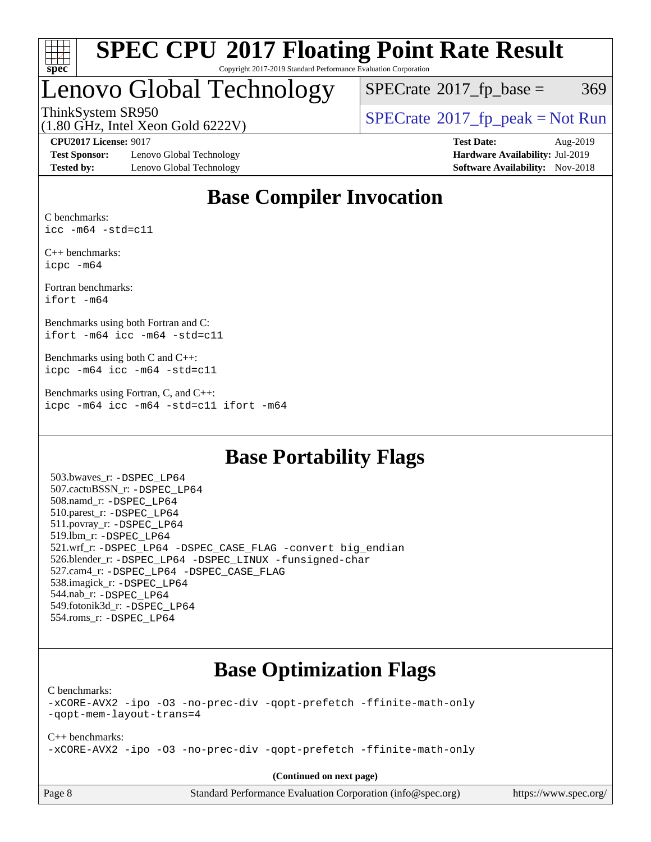

#### **[SPEC CPU](http://www.spec.org/auto/cpu2017/Docs/result-fields.html#SPECCPU2017FloatingPointRateResult)[2017 Floating Point Rate Result](http://www.spec.org/auto/cpu2017/Docs/result-fields.html#SPECCPU2017FloatingPointRateResult)** Copyright 2017-2019 Standard Performance Evaluation Corporation

# Lenovo Global Technology

 $SPECTate@2017_fp\_base = 369$ 

ThinkSystem SR950<br>(1.80 GHz, Intel Year Gold 6222V) [SPECrate](http://www.spec.org/auto/cpu2017/Docs/result-fields.html#SPECrate2017fppeak)®[2017\\_fp\\_peak = N](http://www.spec.org/auto/cpu2017/Docs/result-fields.html#SPECrate2017fppeak)ot Run

(1.80 GHz, Intel Xeon Gold 6222V)

**[Test Sponsor:](http://www.spec.org/auto/cpu2017/Docs/result-fields.html#TestSponsor)** Lenovo Global Technology **[Hardware Availability:](http://www.spec.org/auto/cpu2017/Docs/result-fields.html#HardwareAvailability)** Jul-2019 **[Tested by:](http://www.spec.org/auto/cpu2017/Docs/result-fields.html#Testedby)** Lenovo Global Technology **[Software Availability:](http://www.spec.org/auto/cpu2017/Docs/result-fields.html#SoftwareAvailability)** Nov-2018

**[CPU2017 License:](http://www.spec.org/auto/cpu2017/Docs/result-fields.html#CPU2017License)** 9017 **[Test Date:](http://www.spec.org/auto/cpu2017/Docs/result-fields.html#TestDate)** Aug-2019

### **[Base Compiler Invocation](http://www.spec.org/auto/cpu2017/Docs/result-fields.html#BaseCompilerInvocation)**

[C benchmarks:](http://www.spec.org/auto/cpu2017/Docs/result-fields.html#Cbenchmarks) [icc -m64 -std=c11](http://www.spec.org/cpu2017/results/res2019q3/cpu2017-20190902-17526.flags.html#user_CCbase_intel_icc_64bit_c11_33ee0cdaae7deeeab2a9725423ba97205ce30f63b9926c2519791662299b76a0318f32ddfffdc46587804de3178b4f9328c46fa7c2b0cd779d7a61945c91cd35)

[C++ benchmarks:](http://www.spec.org/auto/cpu2017/Docs/result-fields.html#CXXbenchmarks) [icpc -m64](http://www.spec.org/cpu2017/results/res2019q3/cpu2017-20190902-17526.flags.html#user_CXXbase_intel_icpc_64bit_4ecb2543ae3f1412ef961e0650ca070fec7b7afdcd6ed48761b84423119d1bf6bdf5cad15b44d48e7256388bc77273b966e5eb805aefd121eb22e9299b2ec9d9)

[Fortran benchmarks](http://www.spec.org/auto/cpu2017/Docs/result-fields.html#Fortranbenchmarks): [ifort -m64](http://www.spec.org/cpu2017/results/res2019q3/cpu2017-20190902-17526.flags.html#user_FCbase_intel_ifort_64bit_24f2bb282fbaeffd6157abe4f878425411749daecae9a33200eee2bee2fe76f3b89351d69a8130dd5949958ce389cf37ff59a95e7a40d588e8d3a57e0c3fd751)

[Benchmarks using both Fortran and C:](http://www.spec.org/auto/cpu2017/Docs/result-fields.html#BenchmarksusingbothFortranandC) [ifort -m64](http://www.spec.org/cpu2017/results/res2019q3/cpu2017-20190902-17526.flags.html#user_CC_FCbase_intel_ifort_64bit_24f2bb282fbaeffd6157abe4f878425411749daecae9a33200eee2bee2fe76f3b89351d69a8130dd5949958ce389cf37ff59a95e7a40d588e8d3a57e0c3fd751) [icc -m64 -std=c11](http://www.spec.org/cpu2017/results/res2019q3/cpu2017-20190902-17526.flags.html#user_CC_FCbase_intel_icc_64bit_c11_33ee0cdaae7deeeab2a9725423ba97205ce30f63b9926c2519791662299b76a0318f32ddfffdc46587804de3178b4f9328c46fa7c2b0cd779d7a61945c91cd35)

[Benchmarks using both C and C++](http://www.spec.org/auto/cpu2017/Docs/result-fields.html#BenchmarksusingbothCandCXX): [icpc -m64](http://www.spec.org/cpu2017/results/res2019q3/cpu2017-20190902-17526.flags.html#user_CC_CXXbase_intel_icpc_64bit_4ecb2543ae3f1412ef961e0650ca070fec7b7afdcd6ed48761b84423119d1bf6bdf5cad15b44d48e7256388bc77273b966e5eb805aefd121eb22e9299b2ec9d9) [icc -m64 -std=c11](http://www.spec.org/cpu2017/results/res2019q3/cpu2017-20190902-17526.flags.html#user_CC_CXXbase_intel_icc_64bit_c11_33ee0cdaae7deeeab2a9725423ba97205ce30f63b9926c2519791662299b76a0318f32ddfffdc46587804de3178b4f9328c46fa7c2b0cd779d7a61945c91cd35)

[Benchmarks using Fortran, C, and C++:](http://www.spec.org/auto/cpu2017/Docs/result-fields.html#BenchmarksusingFortranCandCXX) [icpc -m64](http://www.spec.org/cpu2017/results/res2019q3/cpu2017-20190902-17526.flags.html#user_CC_CXX_FCbase_intel_icpc_64bit_4ecb2543ae3f1412ef961e0650ca070fec7b7afdcd6ed48761b84423119d1bf6bdf5cad15b44d48e7256388bc77273b966e5eb805aefd121eb22e9299b2ec9d9) [icc -m64 -std=c11](http://www.spec.org/cpu2017/results/res2019q3/cpu2017-20190902-17526.flags.html#user_CC_CXX_FCbase_intel_icc_64bit_c11_33ee0cdaae7deeeab2a9725423ba97205ce30f63b9926c2519791662299b76a0318f32ddfffdc46587804de3178b4f9328c46fa7c2b0cd779d7a61945c91cd35) [ifort -m64](http://www.spec.org/cpu2017/results/res2019q3/cpu2017-20190902-17526.flags.html#user_CC_CXX_FCbase_intel_ifort_64bit_24f2bb282fbaeffd6157abe4f878425411749daecae9a33200eee2bee2fe76f3b89351d69a8130dd5949958ce389cf37ff59a95e7a40d588e8d3a57e0c3fd751)

### **[Base Portability Flags](http://www.spec.org/auto/cpu2017/Docs/result-fields.html#BasePortabilityFlags)**

 503.bwaves\_r: [-DSPEC\\_LP64](http://www.spec.org/cpu2017/results/res2019q3/cpu2017-20190902-17526.flags.html#suite_basePORTABILITY503_bwaves_r_DSPEC_LP64) 507.cactuBSSN\_r: [-DSPEC\\_LP64](http://www.spec.org/cpu2017/results/res2019q3/cpu2017-20190902-17526.flags.html#suite_basePORTABILITY507_cactuBSSN_r_DSPEC_LP64) 508.namd\_r: [-DSPEC\\_LP64](http://www.spec.org/cpu2017/results/res2019q3/cpu2017-20190902-17526.flags.html#suite_basePORTABILITY508_namd_r_DSPEC_LP64) 510.parest\_r: [-DSPEC\\_LP64](http://www.spec.org/cpu2017/results/res2019q3/cpu2017-20190902-17526.flags.html#suite_basePORTABILITY510_parest_r_DSPEC_LP64) 511.povray\_r: [-DSPEC\\_LP64](http://www.spec.org/cpu2017/results/res2019q3/cpu2017-20190902-17526.flags.html#suite_basePORTABILITY511_povray_r_DSPEC_LP64) 519.lbm\_r: [-DSPEC\\_LP64](http://www.spec.org/cpu2017/results/res2019q3/cpu2017-20190902-17526.flags.html#suite_basePORTABILITY519_lbm_r_DSPEC_LP64) 521.wrf\_r: [-DSPEC\\_LP64](http://www.spec.org/cpu2017/results/res2019q3/cpu2017-20190902-17526.flags.html#suite_basePORTABILITY521_wrf_r_DSPEC_LP64) [-DSPEC\\_CASE\\_FLAG](http://www.spec.org/cpu2017/results/res2019q3/cpu2017-20190902-17526.flags.html#b521.wrf_r_baseCPORTABILITY_DSPEC_CASE_FLAG) [-convert big\\_endian](http://www.spec.org/cpu2017/results/res2019q3/cpu2017-20190902-17526.flags.html#user_baseFPORTABILITY521_wrf_r_convert_big_endian_c3194028bc08c63ac5d04de18c48ce6d347e4e562e8892b8bdbdc0214820426deb8554edfa529a3fb25a586e65a3d812c835984020483e7e73212c4d31a38223) 526.blender\_r: [-DSPEC\\_LP64](http://www.spec.org/cpu2017/results/res2019q3/cpu2017-20190902-17526.flags.html#suite_basePORTABILITY526_blender_r_DSPEC_LP64) [-DSPEC\\_LINUX](http://www.spec.org/cpu2017/results/res2019q3/cpu2017-20190902-17526.flags.html#b526.blender_r_baseCPORTABILITY_DSPEC_LINUX) [-funsigned-char](http://www.spec.org/cpu2017/results/res2019q3/cpu2017-20190902-17526.flags.html#user_baseCPORTABILITY526_blender_r_force_uchar_40c60f00ab013830e2dd6774aeded3ff59883ba5a1fc5fc14077f794d777847726e2a5858cbc7672e36e1b067e7e5c1d9a74f7176df07886a243d7cc18edfe67) 527.cam4\_r: [-DSPEC\\_LP64](http://www.spec.org/cpu2017/results/res2019q3/cpu2017-20190902-17526.flags.html#suite_basePORTABILITY527_cam4_r_DSPEC_LP64) [-DSPEC\\_CASE\\_FLAG](http://www.spec.org/cpu2017/results/res2019q3/cpu2017-20190902-17526.flags.html#b527.cam4_r_baseCPORTABILITY_DSPEC_CASE_FLAG) 538.imagick\_r: [-DSPEC\\_LP64](http://www.spec.org/cpu2017/results/res2019q3/cpu2017-20190902-17526.flags.html#suite_basePORTABILITY538_imagick_r_DSPEC_LP64) 544.nab\_r: [-DSPEC\\_LP64](http://www.spec.org/cpu2017/results/res2019q3/cpu2017-20190902-17526.flags.html#suite_basePORTABILITY544_nab_r_DSPEC_LP64) 549.fotonik3d\_r: [-DSPEC\\_LP64](http://www.spec.org/cpu2017/results/res2019q3/cpu2017-20190902-17526.flags.html#suite_basePORTABILITY549_fotonik3d_r_DSPEC_LP64) 554.roms\_r: [-DSPEC\\_LP64](http://www.spec.org/cpu2017/results/res2019q3/cpu2017-20190902-17526.flags.html#suite_basePORTABILITY554_roms_r_DSPEC_LP64)

### **[Base Optimization Flags](http://www.spec.org/auto/cpu2017/Docs/result-fields.html#BaseOptimizationFlags)**

[C benchmarks](http://www.spec.org/auto/cpu2017/Docs/result-fields.html#Cbenchmarks):

[-xCORE-AVX2](http://www.spec.org/cpu2017/results/res2019q3/cpu2017-20190902-17526.flags.html#user_CCbase_f-xCORE-AVX2) [-ipo](http://www.spec.org/cpu2017/results/res2019q3/cpu2017-20190902-17526.flags.html#user_CCbase_f-ipo) [-O3](http://www.spec.org/cpu2017/results/res2019q3/cpu2017-20190902-17526.flags.html#user_CCbase_f-O3) [-no-prec-div](http://www.spec.org/cpu2017/results/res2019q3/cpu2017-20190902-17526.flags.html#user_CCbase_f-no-prec-div) [-qopt-prefetch](http://www.spec.org/cpu2017/results/res2019q3/cpu2017-20190902-17526.flags.html#user_CCbase_f-qopt-prefetch) [-ffinite-math-only](http://www.spec.org/cpu2017/results/res2019q3/cpu2017-20190902-17526.flags.html#user_CCbase_f_finite_math_only_cb91587bd2077682c4b38af759c288ed7c732db004271a9512da14a4f8007909a5f1427ecbf1a0fb78ff2a814402c6114ac565ca162485bbcae155b5e4258871) [-qopt-mem-layout-trans=4](http://www.spec.org/cpu2017/results/res2019q3/cpu2017-20190902-17526.flags.html#user_CCbase_f-qopt-mem-layout-trans_fa39e755916c150a61361b7846f310bcdf6f04e385ef281cadf3647acec3f0ae266d1a1d22d972a7087a248fd4e6ca390a3634700869573d231a252c784941a8)

[C++ benchmarks:](http://www.spec.org/auto/cpu2017/Docs/result-fields.html#CXXbenchmarks) [-xCORE-AVX2](http://www.spec.org/cpu2017/results/res2019q3/cpu2017-20190902-17526.flags.html#user_CXXbase_f-xCORE-AVX2) [-ipo](http://www.spec.org/cpu2017/results/res2019q3/cpu2017-20190902-17526.flags.html#user_CXXbase_f-ipo) [-O3](http://www.spec.org/cpu2017/results/res2019q3/cpu2017-20190902-17526.flags.html#user_CXXbase_f-O3) [-no-prec-div](http://www.spec.org/cpu2017/results/res2019q3/cpu2017-20190902-17526.flags.html#user_CXXbase_f-no-prec-div) [-qopt-prefetch](http://www.spec.org/cpu2017/results/res2019q3/cpu2017-20190902-17526.flags.html#user_CXXbase_f-qopt-prefetch) [-ffinite-math-only](http://www.spec.org/cpu2017/results/res2019q3/cpu2017-20190902-17526.flags.html#user_CXXbase_f_finite_math_only_cb91587bd2077682c4b38af759c288ed7c732db004271a9512da14a4f8007909a5f1427ecbf1a0fb78ff2a814402c6114ac565ca162485bbcae155b5e4258871)

**(Continued on next page)**

Page 8 Standard Performance Evaluation Corporation [\(info@spec.org\)](mailto:info@spec.org) <https://www.spec.org/>